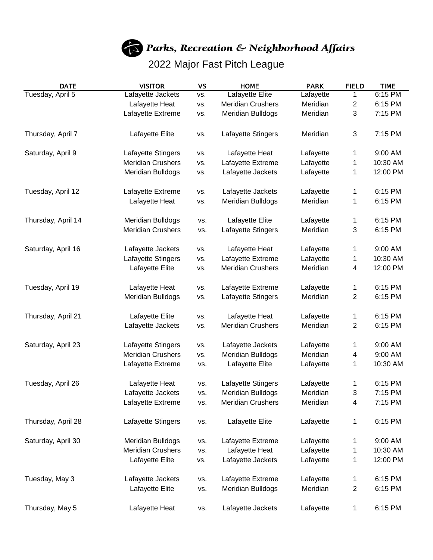

Parks, Recreation & Neighborhood Affairs

## 2022 Major Fast Pitch League

| DATE               | <b>VISITOR</b>           | VS  | <b>HOME</b>              | <b>PARK</b> | <b>FIELD</b>              | <b>TIME</b> |
|--------------------|--------------------------|-----|--------------------------|-------------|---------------------------|-------------|
| Tuesday, April 5   | Lafayette Jackets        | VS. | <b>Lafayette Elite</b>   | Lafayette   | 1                         | 6:15 PM     |
|                    | Lafayette Heat           | VS. | <b>Meridian Crushers</b> | Meridian    | 2                         | 6:15 PM     |
|                    | Lafayette Extreme        | VS. | Meridian Bulldogs        | Meridian    | 3                         | 7:15 PM     |
| Thursday, April 7  | Lafayette Elite          | VS. | Lafayette Stingers       | Meridian    | $\ensuremath{\mathsf{3}}$ | 7:15 PM     |
| Saturday, April 9  | Lafayette Stingers       | VS. | Lafayette Heat           | Lafayette   | 1                         | 9:00 AM     |
|                    | <b>Meridian Crushers</b> | VS. | Lafayette Extreme        | Lafayette   | 1                         | 10:30 AM    |
|                    | Meridian Bulldogs        | VS. | Lafayette Jackets        | Lafayette   | 1                         | 12:00 PM    |
| Tuesday, April 12  | Lafayette Extreme        | VS. | Lafayette Jackets        | Lafayette   | 1                         | 6:15 PM     |
|                    | Lafayette Heat           | VS. | Meridian Bulldogs        | Meridian    | 1                         | 6:15 PM     |
| Thursday, April 14 | Meridian Bulldogs        | VS. | Lafayette Elite          | Lafayette   | 1                         | 6:15 PM     |
|                    | <b>Meridian Crushers</b> | VS. | Lafayette Stingers       | Meridian    | 3                         | 6:15 PM     |
| Saturday, April 16 | Lafayette Jackets        | VS. | Lafayette Heat           | Lafayette   | 1                         | 9:00 AM     |
|                    | Lafayette Stingers       | VS. | Lafayette Extreme        | Lafayette   | 1                         | 10:30 AM    |
|                    | Lafayette Elite          | VS. | <b>Meridian Crushers</b> | Meridian    | 4                         | 12:00 PM    |
| Tuesday, April 19  | Lafayette Heat           | VS. | Lafayette Extreme        | Lafayette   | 1                         | 6:15 PM     |
|                    | Meridian Bulldogs        | VS. | Lafayette Stingers       | Meridian    | 2                         | 6:15 PM     |
| Thursday, April 21 | Lafayette Elite          | VS. | Lafayette Heat           | Lafayette   | 1                         | 6:15 PM     |
|                    | Lafayette Jackets        | VS. | <b>Meridian Crushers</b> | Meridian    | $\overline{2}$            | 6:15 PM     |
| Saturday, April 23 | Lafayette Stingers       | VS. | Lafayette Jackets        | Lafayette   | 1                         | 9:00 AM     |
|                    | <b>Meridian Crushers</b> | VS. | Meridian Bulldogs        | Meridian    | 4                         | 9:00 AM     |
|                    | Lafayette Extreme        | VS. | Lafayette Elite          | Lafayette   | 1                         | 10:30 AM    |
| Tuesday, April 26  | Lafayette Heat           | VS. | Lafayette Stingers       | Lafayette   | 1                         | 6:15 PM     |
|                    | Lafayette Jackets        | VS. | <b>Meridian Bulldogs</b> | Meridian    | 3                         | 7:15 PM     |
|                    | Lafayette Extreme        | VS. | <b>Meridian Crushers</b> | Meridian    | 4                         | 7:15 PM     |
| Thursday, April 28 | Lafayette Stingers       | VS. | Lafayette Elite          | Lafayette   | 1                         | 6:15 PM     |
| Saturday, April 30 | Meridian Bulldogs        | VS. | Lafayette Extreme        | Lafayette   | 1                         | 9:00 AM     |
|                    | <b>Meridian Crushers</b> | VS. | Lafayette Heat           | Lafayette   | 1                         | 10:30 AM    |
|                    | Lafayette Elite          | VS. | Lafayette Jackets        | Lafayette   | 1                         | 12:00 PM    |
| Tuesday, May 3     | Lafayette Jackets        | VS. | Lafayette Extreme        | Lafayette   | 1                         | 6:15 PM     |
|                    | Lafayette Elite          | VS. | Meridian Bulldogs        | Meridian    | $\overline{c}$            | 6:15 PM     |
| Thursday, May 5    | Lafayette Heat           | VS. | Lafayette Jackets        | Lafayette   | 1                         | 6:15 PM     |